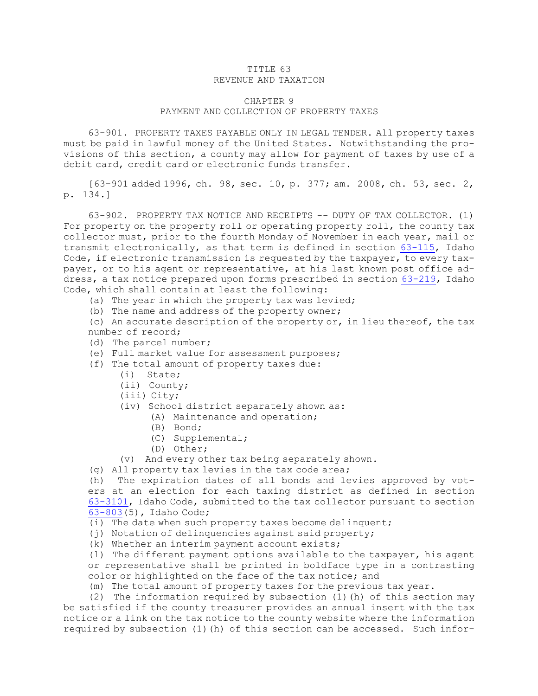## TITLE 63 REVENUE AND TAXATION

## CHAPTER 9

## PAYMENT AND COLLECTION OF PROPERTY TAXES

63-901. PROPERTY TAXES PAYABLE ONLY IN LEGAL TENDER. All property taxes must be paid in lawful money of the United States. Notwithstanding the provisions of this section, <sup>a</sup> county may allow for payment of taxes by use of <sup>a</sup> debit card, credit card or electronic funds transfer.

[63-901 added 1996, ch. 98, sec. 10, p. 377; am. 2008, ch. 53, sec. 2, p. 134.]

63-902. PROPERTY TAX NOTICE AND RECEIPTS -- DUTY OF TAX COLLECTOR. (1) For property on the property roll or operating property roll, the county tax collector must, prior to the fourth Monday of November in each year, mail or transmit electronically, as that term is defined in section [63-115](https://legislature.idaho.gov/statutesrules/idstat/Title63/T63CH1/SECT63-115), Idaho Code, if electronic transmission is requested by the taxpayer, to every taxpayer, or to his agent or representative, at his last known post office address, <sup>a</sup> tax notice prepared upon forms prescribed in section [63-219](https://legislature.idaho.gov/statutesrules/idstat/Title63/T63CH2/SECT63-219), Idaho Code, which shall contain at least the following:

- (a) The year in which the property tax was levied;
- (b) The name and address of the property owner;

(c) An accurate description of the property or, in lieu thereof, the tax number of record;

- (d) The parcel number;
- (e) Full market value for assessment purposes;
- (f) The total amount of property taxes due:
	- (i) State;
	- (ii) County;
	- (iii) City;
	- (iv) School district separately shown as:
		- (A) Maintenance and operation;
			- (B) Bond;
			- (C) Supplemental;
		- (D) Other;
	- (v) And every other tax being separately shown.
- (g) All property tax levies in the tax code area;

(h) The expiration dates of all bonds and levies approved by voters at an election for each taxing district as defined in section [63-3101](https://legislature.idaho.gov/statutesrules/idstat/Title63/T63CH31/SECT63-3101), Idaho Code, submitted to the tax collector pursuant to section [63-803](https://legislature.idaho.gov/statutesrules/idstat/Title63/T63CH8/SECT63-803)(5), Idaho Code;

- (i) The date when such property taxes become delinquent;
- (j) Notation of delinquencies against said property;
- (k) Whether an interim payment account exists;

(l) The different payment options available to the taxpayer, his agent or representative shall be printed in boldface type in <sup>a</sup> contrasting color or highlighted on the face of the tax notice; and

(m) The total amount of property taxes for the previous tax year.

(2) The information required by subsection (1)(h) of this section may be satisfied if the county treasurer provides an annual insert with the tax notice or <sup>a</sup> link on the tax notice to the county website where the information required by subsection (1)(h) of this section can be accessed. Such infor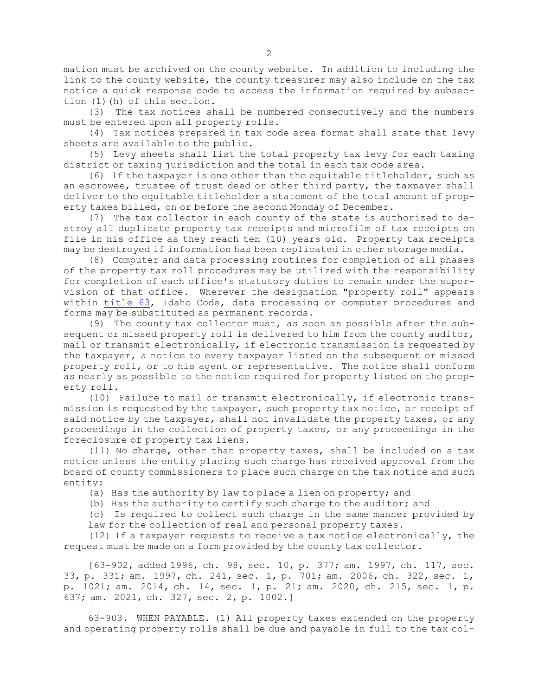mation must be archived on the county website. In addition to including the link to the county website, the county treasurer may also include on the tax notice <sup>a</sup> quick response code to access the information required by subsection (1)(h) of this section.

(3) The tax notices shall be numbered consecutively and the numbers must be entered upon all property rolls.

(4) Tax notices prepared in tax code area format shall state that levy sheets are available to the public.

(5) Levy sheets shall list the total property tax levy for each taxing district or taxing jurisdiction and the total in each tax code area.

(6) If the taxpayer is one other than the equitable titleholder, such as an escrowee, trustee of trust deed or other third party, the taxpayer shall deliver to the equitable titleholder <sup>a</sup> statement of the total amount of property taxes billed, on or before the second Monday of December.

(7) The tax collector in each county of the state is authorized to destroy all duplicate property tax receipts and microfilm of tax receipts on file in his office as they reach ten (10) years old. Property tax receipts may be destroyed if information has been replicated in other storage media.

(8) Computer and data processing routines for completion of all phases of the property tax roll procedures may be utilized with the responsibility for completion of each office's statutory duties to remain under the supervision of that office. Wherever the designation "property roll" appears within [title](https://legislature.idaho.gov/statutesrules/idstat/Title63/) 63, Idaho Code, data processing or computer procedures and forms may be substituted as permanent records.

(9) The county tax collector must, as soon as possible after the subsequent or missed property roll is delivered to him from the county auditor, mail or transmit electronically, if electronic transmission is requested by the taxpayer, <sup>a</sup> notice to every taxpayer listed on the subsequent or missed property roll, or to his agent or representative. The notice shall conform as nearly as possible to the notice required for property listed on the property roll.

(10) Failure to mail or transmit electronically, if electronic transmission is requested by the taxpayer, such property tax notice, or receipt of said notice by the taxpayer, shall not invalidate the property taxes, or any proceedings in the collection of property taxes, or any proceedings in the foreclosure of property tax liens.

(11) No charge, other than property taxes, shall be included on <sup>a</sup> tax notice unless the entity placing such charge has received approval from the board of county commissioners to place such charge on the tax notice and such entity:

(a) Has the authority by law to place <sup>a</sup> lien on property; and

(b) Has the authority to certify such charge to the auditor; and

(c) Is required to collect such charge in the same manner provided by

law for the collection of real and personal property taxes.

(12) If <sup>a</sup> taxpayer requests to receive <sup>a</sup> tax notice electronically, the request must be made on <sup>a</sup> form provided by the county tax collector.

[63-902, added 1996, ch. 98, sec. 10, p. 377; am. 1997, ch. 117, sec. 33, p. 331; am. 1997, ch. 241, sec. 1, p. 701; am. 2006, ch. 322, sec. 1, p. 1021; am. 2014, ch. 14, sec. 1, p. 21; am. 2020, ch. 215, sec. 1, p. 637; am. 2021, ch. 327, sec. 2, p. 1002.]

63-903. WHEN PAYABLE. (1) All property taxes extended on the property and operating property rolls shall be due and payable in full to the tax col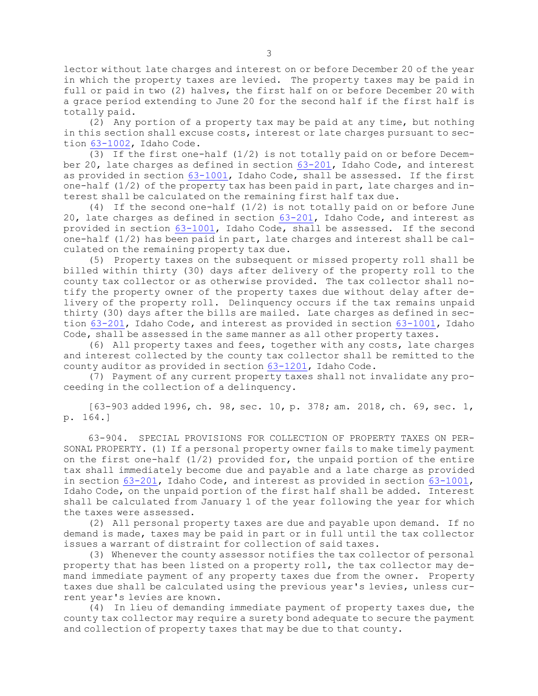lector without late charges and interest on or before December 20 of the year in which the property taxes are levied. The property taxes may be paid in full or paid in two (2) halves, the first half on or before December 20 with <sup>a</sup> grace period extending to June 20 for the second half if the first half is totally paid.

(2) Any portion of <sup>a</sup> property tax may be paid at any time, but nothing in this section shall excuse costs, interest or late charges pursuant to section [63-1002](https://legislature.idaho.gov/statutesrules/idstat/Title63/T63CH10/SECT63-1002), Idaho Code.

(3) If the first one-half (1/2) is not totally paid on or before December 20, late charges as defined in section [63-201](https://legislature.idaho.gov/statutesrules/idstat/Title63/T63CH2/SECT63-201), Idaho Code, and interest as provided in section [63-1001](https://legislature.idaho.gov/statutesrules/idstat/Title63/T63CH10/SECT63-1001), Idaho Code, shall be assessed. If the first one-half  $(1/2)$  of the property tax has been paid in part, late charges and interest shall be calculated on the remaining first half tax due.

(4) If the second one-half (1/2) is not totally paid on or before June 20, late charges as defined in section [63-201](https://legislature.idaho.gov/statutesrules/idstat/Title63/T63CH2/SECT63-201), Idaho Code, and interest as provided in section [63-1001](https://legislature.idaho.gov/statutesrules/idstat/Title63/T63CH10/SECT63-1001), Idaho Code, shall be assessed. If the second one-half (1/2) has been paid in part, late charges and interest shall be calculated on the remaining property tax due.

(5) Property taxes on the subsequent or missed property roll shall be billed within thirty (30) days after delivery of the property roll to the county tax collector or as otherwise provided. The tax collector shall notify the property owner of the property taxes due without delay after delivery of the property roll. Delinquency occurs if the tax remains unpaid thirty (30) days after the bills are mailed. Late charges as defined in section [63-201](https://legislature.idaho.gov/statutesrules/idstat/Title63/T63CH2/SECT63-201), Idaho Code, and interest as provided in section [63-1001](https://legislature.idaho.gov/statutesrules/idstat/Title63/T63CH10/SECT63-1001), Idaho Code, shall be assessed in the same manner as all other property taxes.

(6) All property taxes and fees, together with any costs, late charges and interest collected by the county tax collector shall be remitted to the county auditor as provided in section [63-1201](https://legislature.idaho.gov/statutesrules/idstat/Title63/T63CH12/SECT63-1201), Idaho Code.

(7) Payment of any current property taxes shall not invalidate any proceeding in the collection of <sup>a</sup> delinquency.

[63-903 added 1996, ch. 98, sec. 10, p. 378; am. 2018, ch. 69, sec. 1, p. 164.]

63-904. SPECIAL PROVISIONS FOR COLLECTION OF PROPERTY TAXES ON PER-SONAL PROPERTY. (1) If <sup>a</sup> personal property owner fails to make timely payment on the first one-half (1/2) provided for, the unpaid portion of the entire tax shall immediately become due and payable and <sup>a</sup> late charge as provided in section [63-201](https://legislature.idaho.gov/statutesrules/idstat/Title63/T63CH2/SECT63-201), Idaho Code, and interest as provided in section [63-1001](https://legislature.idaho.gov/statutesrules/idstat/Title63/T63CH10/SECT63-1001), Idaho Code, on the unpaid portion of the first half shall be added. Interest shall be calculated from January 1 of the year following the year for which the taxes were assessed.

(2) All personal property taxes are due and payable upon demand. If no demand is made, taxes may be paid in part or in full until the tax collector issues <sup>a</sup> warrant of distraint for collection of said taxes.

(3) Whenever the county assessor notifies the tax collector of personal property that has been listed on <sup>a</sup> property roll, the tax collector may demand immediate payment of any property taxes due from the owner. Property taxes due shall be calculated using the previous year's levies, unless current year's levies are known.

(4) In lieu of demanding immediate payment of property taxes due, the county tax collector may require <sup>a</sup> surety bond adequate to secure the payment and collection of property taxes that may be due to that county.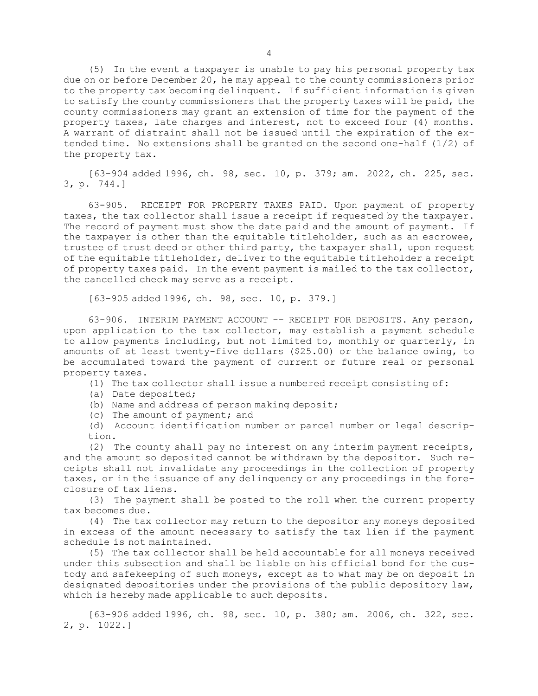(5) In the event <sup>a</sup> taxpayer is unable to pay his personal property tax due on or before December 20, he may appeal to the county commissioners prior to the property tax becoming delinquent. If sufficient information is given to satisfy the county commissioners that the property taxes will be paid, the county commissioners may grant an extension of time for the payment of the property taxes, late charges and interest, not to exceed four (4) months. <sup>A</sup> warrant of distraint shall not be issued until the expiration of the extended time. No extensions shall be granted on the second one-half (1/2) of the property tax.

[63-904 added 1996, ch. 98, sec. 10, p. 379; am. 2022, ch. 225, sec. 3, p. 744.]

63-905. RECEIPT FOR PROPERTY TAXES PAID. Upon payment of property taxes, the tax collector shall issue <sup>a</sup> receipt if requested by the taxpayer. The record of payment must show the date paid and the amount of payment. If the taxpayer is other than the equitable titleholder, such as an escrowee, trustee of trust deed or other third party, the taxpayer shall, upon request of the equitable titleholder, deliver to the equitable titleholder <sup>a</sup> receipt of property taxes paid. In the event payment is mailed to the tax collector, the cancelled check may serve as <sup>a</sup> receipt.

[63-905 added 1996, ch. 98, sec. 10, p. 379.]

63-906. INTERIM PAYMENT ACCOUNT -- RECEIPT FOR DEPOSITS. Any person, upon application to the tax collector, may establish <sup>a</sup> payment schedule to allow payments including, but not limited to, monthly or quarterly, in amounts of at least twenty-five dollars (\$25.00) or the balance owing, to be accumulated toward the payment of current or future real or personal property taxes.

(1) The tax collector shall issue <sup>a</sup> numbered receipt consisting of:

- (a) Date deposited;
- (b) Name and address of person making deposit;
- (c) The amount of payment; and

(d) Account identification number or parcel number or legal description.

(2) The county shall pay no interest on any interim payment receipts, and the amount so deposited cannot be withdrawn by the depositor. Such receipts shall not invalidate any proceedings in the collection of property taxes, or in the issuance of any delinquency or any proceedings in the foreclosure of tax liens.

(3) The payment shall be posted to the roll when the current property tax becomes due.

(4) The tax collector may return to the depositor any moneys deposited in excess of the amount necessary to satisfy the tax lien if the payment schedule is not maintained.

(5) The tax collector shall be held accountable for all moneys received under this subsection and shall be liable on his official bond for the custody and safekeeping of such moneys, except as to what may be on deposit in designated depositories under the provisions of the public depository law, which is hereby made applicable to such deposits.

[63-906 added 1996, ch. 98, sec. 10, p. 380; am. 2006, ch. 322, sec. 2, p. 1022.]